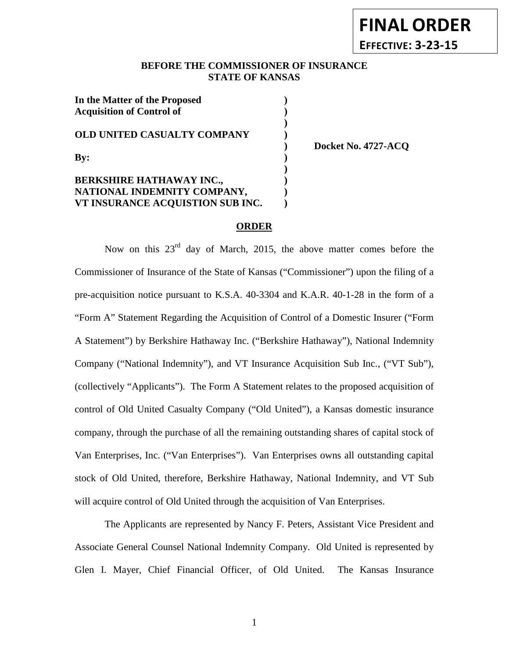# **FINAL ORDER EFFECTIVE: 3-23-15**

# **BEFORE THE COMMISSIONER OF INSURANCE STATE OF KANSAS**

**)**

| In the Matter of the Proposed<br><b>Acquisition of Control of</b> |  |
|-------------------------------------------------------------------|--|
| <b>OLD UNITED CASUALTY COMPANY</b>                                |  |
| $\mathbf{By:}$                                                    |  |
| <b>BERKSHIRE HATHAWAY INC.,</b>                                   |  |
| NATIONAL INDEMNITY COMPANY,<br>VT INSURANCE ACQUISTION SUB INC.   |  |

**) Docket No. 4727-ACQ**

## **ORDER**

Now on this  $23<sup>rd</sup>$  day of March, 2015, the above matter comes before the Commissioner of Insurance of the State of Kansas ("Commissioner") upon the filing of a pre-acquisition notice pursuant to K.S.A. 40-3304 and K.A.R. 40-1-28 in the form of a "Form A" Statement Regarding the Acquisition of Control of a Domestic Insurer ("Form A Statement") by Berkshire Hathaway Inc. ("Berkshire Hathaway"), National Indemnity Company ("National Indemnity"), and VT Insurance Acquisition Sub Inc., ("VT Sub"), (collectively "Applicants"). The Form A Statement relates to the proposed acquisition of control of Old United Casualty Company ("Old United"), a Kansas domestic insurance company, through the purchase of all the remaining outstanding shares of capital stock of Van Enterprises, Inc. ("Van Enterprises"). Van Enterprises owns all outstanding capital stock of Old United, therefore, Berkshire Hathaway, National Indemnity, and VT Sub will acquire control of Old United through the acquisition of Van Enterprises.

The Applicants are represented by Nancy F. Peters, Assistant Vice President and Associate General Counsel National Indemnity Company. Old United is represented by Glen I. Mayer, Chief Financial Officer, of Old United. The Kansas Insurance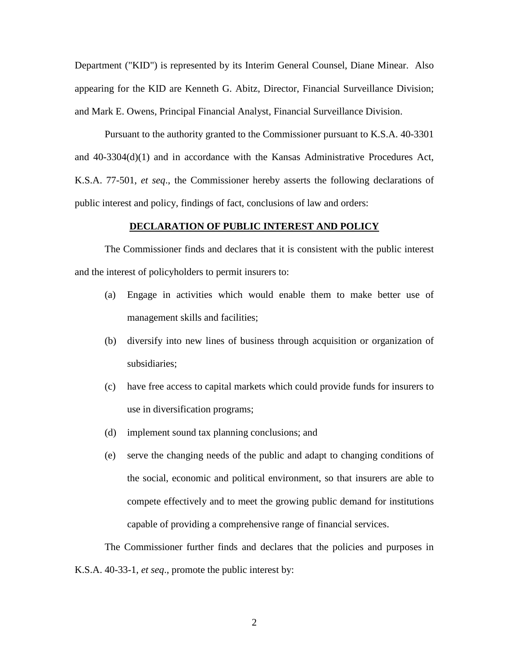Department ("KID") is represented by its Interim General Counsel, Diane Minear. Also appearing for the KID are Kenneth G. Abitz, Director, Financial Surveillance Division; and Mark E. Owens, Principal Financial Analyst, Financial Surveillance Division.

Pursuant to the authority granted to the Commissioner pursuant to K.S.A. 40-3301 and 40-3304(d)(1) and in accordance with the Kansas Administrative Procedures Act, K.S.A. 77-501, *et seq*., the Commissioner hereby asserts the following declarations of public interest and policy, findings of fact, conclusions of law and orders:

#### **DECLARATION OF PUBLIC INTEREST AND POLICY**

The Commissioner finds and declares that it is consistent with the public interest and the interest of policyholders to permit insurers to:

- (a) Engage in activities which would enable them to make better use of management skills and facilities;
- (b) diversify into new lines of business through acquisition or organization of subsidiaries;
- (c) have free access to capital markets which could provide funds for insurers to use in diversification programs;
- (d) implement sound tax planning conclusions; and
- (e) serve the changing needs of the public and adapt to changing conditions of the social, economic and political environment, so that insurers are able to compete effectively and to meet the growing public demand for institutions capable of providing a comprehensive range of financial services.

The Commissioner further finds and declares that the policies and purposes in K.S.A. 40-33-1, *et seq*., promote the public interest by: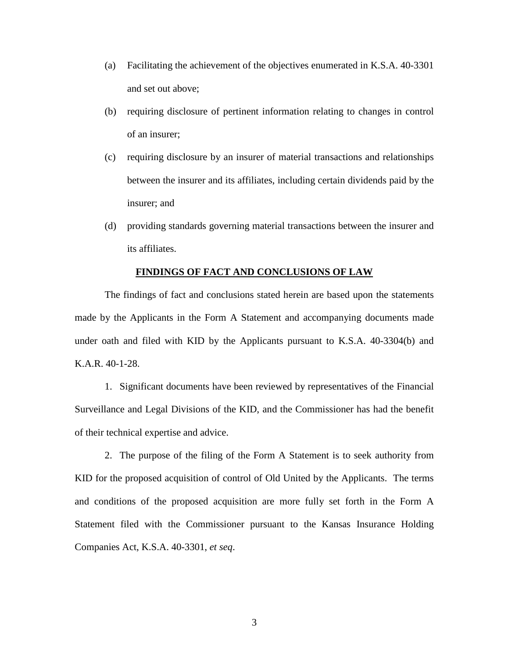- (a) Facilitating the achievement of the objectives enumerated in K.S.A. 40-3301 and set out above;
- (b) requiring disclosure of pertinent information relating to changes in control of an insurer;
- (c) requiring disclosure by an insurer of material transactions and relationships between the insurer and its affiliates, including certain dividends paid by the insurer; and
- (d) providing standards governing material transactions between the insurer and its affiliates.

#### **FINDINGS OF FACT AND CONCLUSIONS OF LAW**

The findings of fact and conclusions stated herein are based upon the statements made by the Applicants in the Form A Statement and accompanying documents made under oath and filed with KID by the Applicants pursuant to K.S.A. 40-3304(b) and K.A.R. 40-1-28.

1. Significant documents have been reviewed by representatives of the Financial Surveillance and Legal Divisions of the KID, and the Commissioner has had the benefit of their technical expertise and advice.

2. The purpose of the filing of the Form A Statement is to seek authority from KID for the proposed acquisition of control of Old United by the Applicants. The terms and conditions of the proposed acquisition are more fully set forth in the Form A Statement filed with the Commissioner pursuant to the Kansas Insurance Holding Companies Act, K.S.A. 40-3301, *et seq*.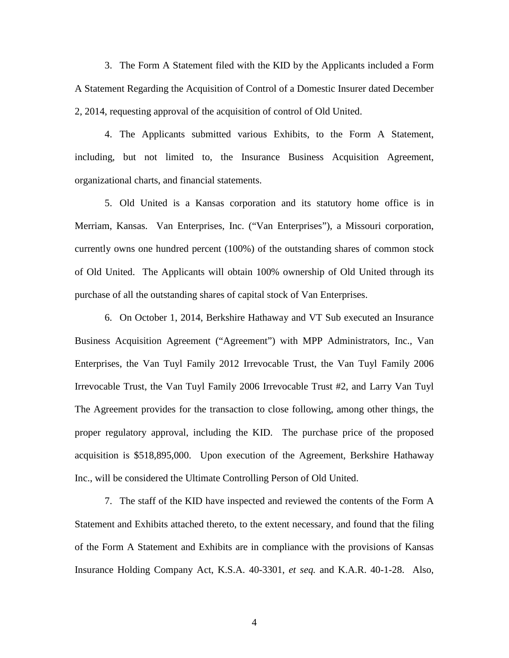3. The Form A Statement filed with the KID by the Applicants included a Form A Statement Regarding the Acquisition of Control of a Domestic Insurer dated December 2, 2014, requesting approval of the acquisition of control of Old United.

4. The Applicants submitted various Exhibits, to the Form A Statement, including, but not limited to, the Insurance Business Acquisition Agreement, organizational charts, and financial statements.

5. Old United is a Kansas corporation and its statutory home office is in Merriam, Kansas. Van Enterprises, Inc. ("Van Enterprises"), a Missouri corporation, currently owns one hundred percent (100%) of the outstanding shares of common stock of Old United. The Applicants will obtain 100% ownership of Old United through its purchase of all the outstanding shares of capital stock of Van Enterprises.

6. On October 1, 2014, Berkshire Hathaway and VT Sub executed an Insurance Business Acquisition Agreement ("Agreement") with MPP Administrators, Inc., Van Enterprises, the Van Tuyl Family 2012 Irrevocable Trust, the Van Tuyl Family 2006 Irrevocable Trust, the Van Tuyl Family 2006 Irrevocable Trust #2, and Larry Van Tuyl The Agreement provides for the transaction to close following, among other things, the proper regulatory approval, including the KID. The purchase price of the proposed acquisition is \$518,895,000. Upon execution of the Agreement, Berkshire Hathaway Inc., will be considered the Ultimate Controlling Person of Old United.

7. The staff of the KID have inspected and reviewed the contents of the Form A Statement and Exhibits attached thereto, to the extent necessary, and found that the filing of the Form A Statement and Exhibits are in compliance with the provisions of Kansas Insurance Holding Company Act, K.S.A. 40-3301, *et seq.* and K.A.R. 40-1-28. Also,

4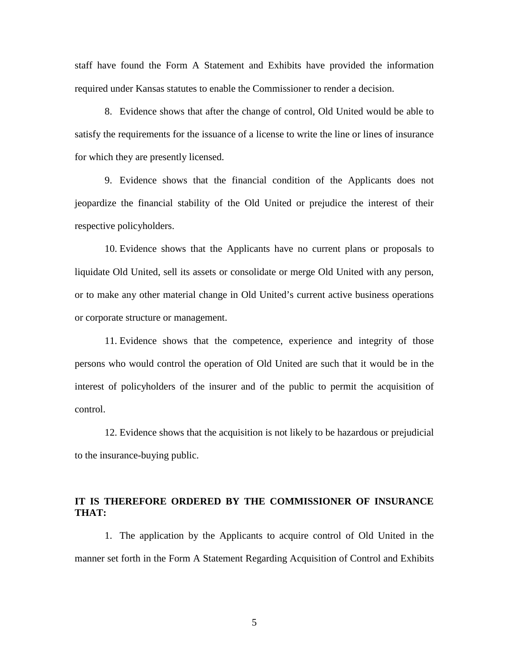staff have found the Form A Statement and Exhibits have provided the information required under Kansas statutes to enable the Commissioner to render a decision.

8. Evidence shows that after the change of control, Old United would be able to satisfy the requirements for the issuance of a license to write the line or lines of insurance for which they are presently licensed.

9. Evidence shows that the financial condition of the Applicants does not jeopardize the financial stability of the Old United or prejudice the interest of their respective policyholders.

10. Evidence shows that the Applicants have no current plans or proposals to liquidate Old United, sell its assets or consolidate or merge Old United with any person, or to make any other material change in Old United's current active business operations or corporate structure or management.

11. Evidence shows that the competence, experience and integrity of those persons who would control the operation of Old United are such that it would be in the interest of policyholders of the insurer and of the public to permit the acquisition of control.

12. Evidence shows that the acquisition is not likely to be hazardous or prejudicial to the insurance-buying public.

# **IT IS THEREFORE ORDERED BY THE COMMISSIONER OF INSURANCE THAT:**

1. The application by the Applicants to acquire control of Old United in the manner set forth in the Form A Statement Regarding Acquisition of Control and Exhibits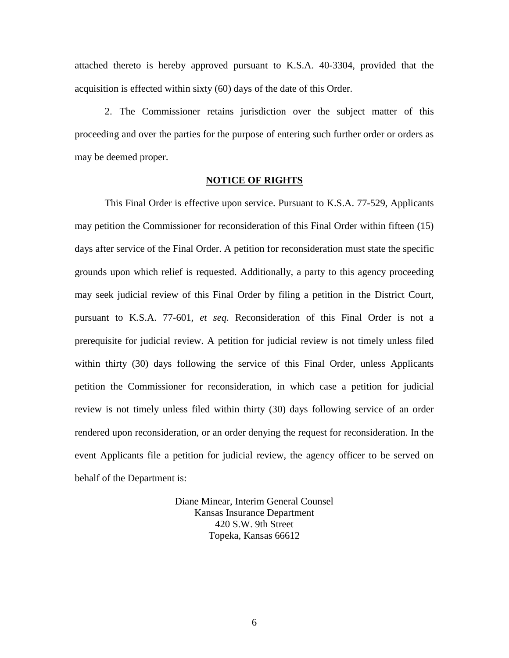attached thereto is hereby approved pursuant to K.S.A. 40-3304, provided that the acquisition is effected within sixty (60) days of the date of this Order.

2. The Commissioner retains jurisdiction over the subject matter of this proceeding and over the parties for the purpose of entering such further order or orders as may be deemed proper.

## **NOTICE OF RIGHTS**

This Final Order is effective upon service. Pursuant to K.S.A. 77-529, Applicants may petition the Commissioner for reconsideration of this Final Order within fifteen (15) days after service of the Final Order. A petition for reconsideration must state the specific grounds upon which relief is requested. Additionally, a party to this agency proceeding may seek judicial review of this Final Order by filing a petition in the District Court, pursuant to K.S.A. 77-601, *et seq*. Reconsideration of this Final Order is not a prerequisite for judicial review. A petition for judicial review is not timely unless filed within thirty (30) days following the service of this Final Order, unless Applicants petition the Commissioner for reconsideration, in which case a petition for judicial review is not timely unless filed within thirty (30) days following service of an order rendered upon reconsideration, or an order denying the request for reconsideration. In the event Applicants file a petition for judicial review, the agency officer to be served on behalf of the Department is:

> Diane Minear, Interim General Counsel Kansas Insurance Department 420 S.W. 9th Street Topeka, Kansas 66612

> > 6